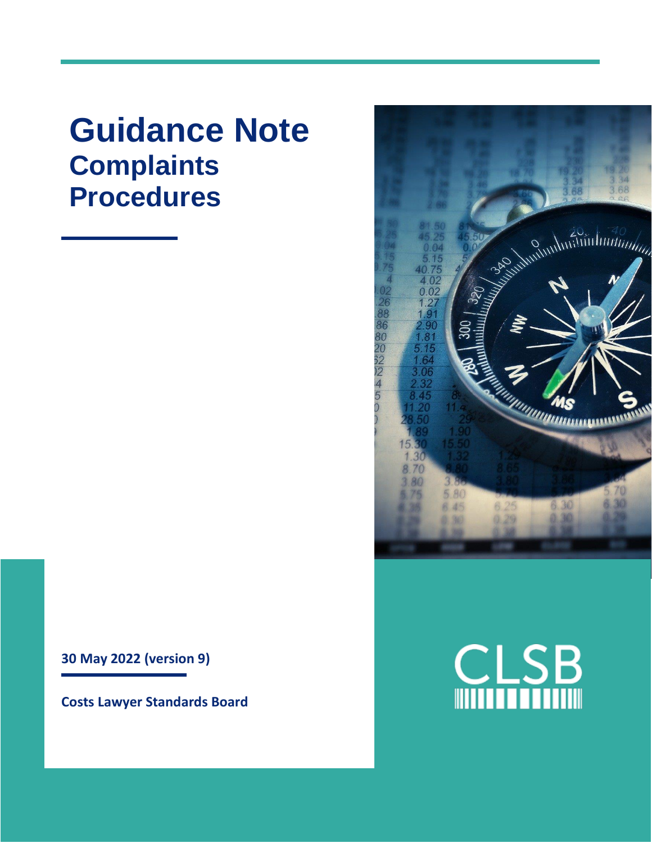## **Guidance Note Complaints Procedures**

**30 May 2022 (version 9)**

**Costs Lawyer Standards Board**



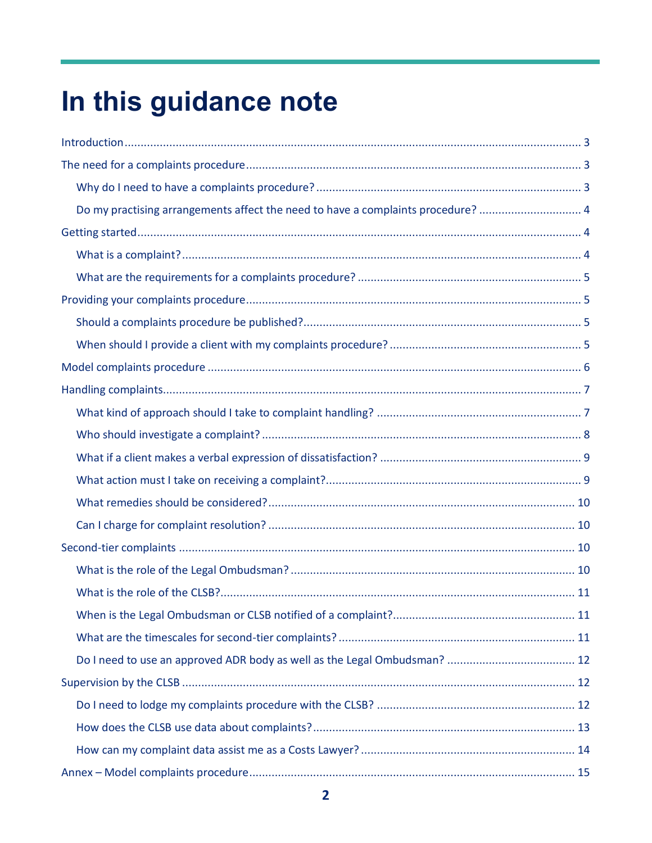# In this guidance note

| Do my practising arrangements affect the need to have a complaints procedure?  4 |
|----------------------------------------------------------------------------------|
|                                                                                  |
|                                                                                  |
|                                                                                  |
|                                                                                  |
|                                                                                  |
|                                                                                  |
|                                                                                  |
|                                                                                  |
|                                                                                  |
|                                                                                  |
|                                                                                  |
|                                                                                  |
|                                                                                  |
|                                                                                  |
|                                                                                  |
|                                                                                  |
|                                                                                  |
|                                                                                  |
|                                                                                  |
|                                                                                  |
|                                                                                  |
|                                                                                  |
|                                                                                  |
|                                                                                  |
|                                                                                  |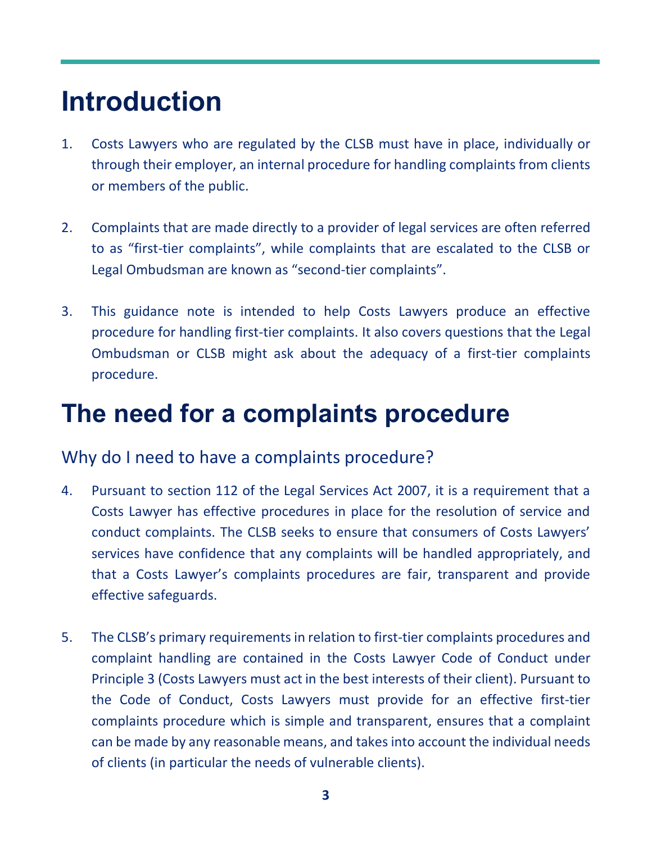## <span id="page-2-0"></span>**Introduction**

- 1. Costs Lawyers who are regulated by the CLSB must have in place, individually or through their employer, an internal procedure for handling complaints from clients or members of the public.
- 2. Complaints that are made directly to a provider of legal services are often referred to as "first-tier complaints", while complaints that are escalated to the CLSB or Legal Ombudsman are known as "second-tier complaints".
- 3. This guidance note is intended to help Costs Lawyers produce an effective procedure for handling first-tier complaints. It also covers questions that the Legal Ombudsman or CLSB might ask about the adequacy of a first-tier complaints procedure.

## <span id="page-2-1"></span>**The need for a complaints procedure**

#### <span id="page-2-2"></span>Why do I need to have a complaints procedure?

- 4. Pursuant to section 112 of the Legal Services Act 2007, it is a requirement that a Costs Lawyer has effective procedures in place for the resolution of service and conduct complaints. The CLSB seeks to ensure that consumers of Costs Lawyers' services have confidence that any complaints will be handled appropriately, and that a Costs Lawyer's complaints procedures are fair, transparent and provide effective safeguards.
- 5. The CLSB's primary requirements in relation to first-tier complaints procedures and complaint handling are contained in the Costs Lawyer Code of Conduct under Principle 3 (Costs Lawyers must act in the best interests of their client). Pursuant to the Code of Conduct, Costs Lawyers must provide for an effective first-tier complaints procedure which is simple and transparent, ensures that a complaint can be made by any reasonable means, and takes into account the individual needs of clients (in particular the needs of vulnerable clients).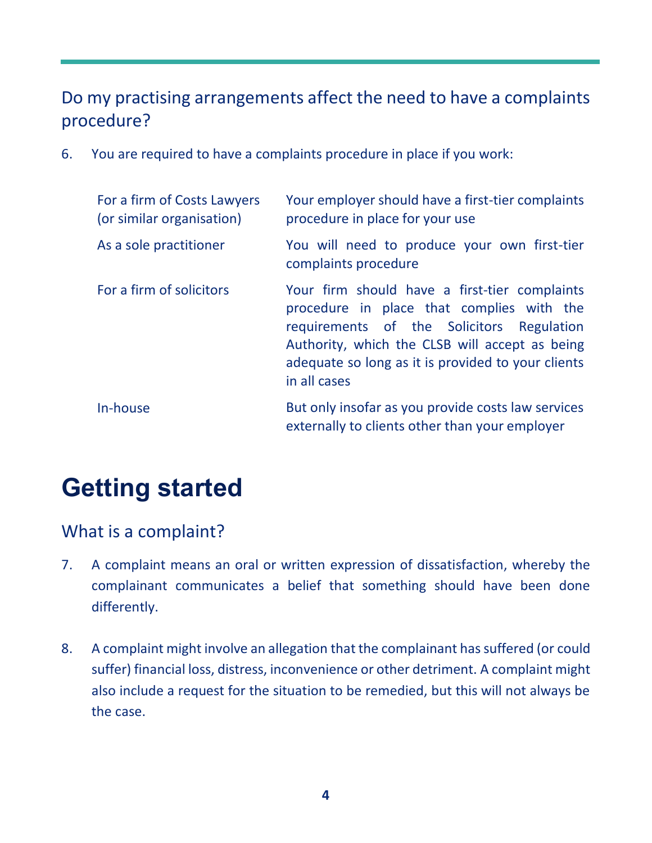### <span id="page-3-0"></span>Do my practising arrangements affect the need to have a complaints procedure?

6. You are required to have a complaints procedure in place if you work:

| For a firm of Costs Lawyers<br>(or similar organisation) | Your employer should have a first-tier complaints<br>procedure in place for your use                                                                                                                                                                            |
|----------------------------------------------------------|-----------------------------------------------------------------------------------------------------------------------------------------------------------------------------------------------------------------------------------------------------------------|
| As a sole practitioner                                   | You will need to produce your own first-tier<br>complaints procedure                                                                                                                                                                                            |
| For a firm of solicitors                                 | Your firm should have a first-tier complaints<br>procedure in place that complies with the<br>requirements of the Solicitors Regulation<br>Authority, which the CLSB will accept as being<br>adequate so long as it is provided to your clients<br>in all cases |
| In-house                                                 | But only insofar as you provide costs law services<br>externally to clients other than your employer                                                                                                                                                            |

## <span id="page-3-1"></span>**Getting started**

### <span id="page-3-2"></span>What is a complaint?

- 7. A complaint means an oral or written expression of dissatisfaction, whereby the complainant communicates a belief that something should have been done differently.
- 8. A complaint might involve an allegation that the complainant has suffered (or could suffer) financial loss, distress, inconvenience or other detriment. A complaint might also include a request for the situation to be remedied, but this will not always be the case.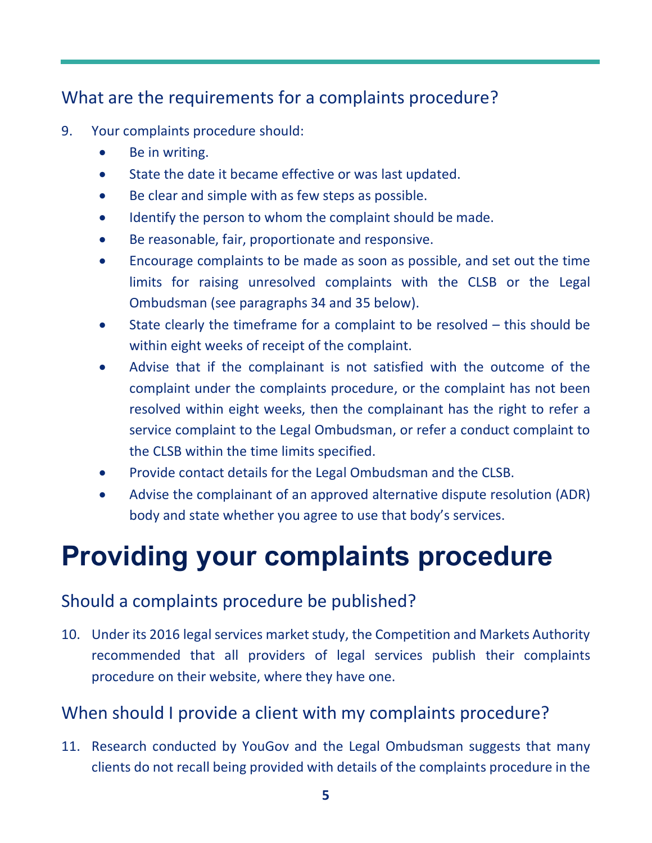### <span id="page-4-0"></span>What are the requirements for a complaints procedure?

- 9. Your complaints procedure should:
	- Be in writing.
	- State the date it became effective or was last updated.
	- Be clear and simple with as few steps as possible.
	- Identify the person to whom the complaint should be made.
	- Be reasonable, fair, proportionate and responsive.
	- Encourage complaints to be made as soon as possible, and set out the time limits for raising unresolved complaints with the CLSB or the Legal Ombudsman (see paragraphs 34 and 35 below).
	- State clearly the timeframe for a complaint to be resolved this should be within eight weeks of receipt of the complaint.
	- Advise that if the complainant is not satisfied with the outcome of the complaint under the complaints procedure, or the complaint has not been resolved within eight weeks, then the complainant has the right to refer a service complaint to the Legal Ombudsman, or refer a conduct complaint to the CLSB within the time limits specified.
	- Provide contact details for the Legal Ombudsman and the CLSB.
	- Advise the complainant of an approved alternative dispute resolution (ADR) body and state whether you agree to use that body's services.

## <span id="page-4-1"></span>**Providing your complaints procedure**

### <span id="page-4-2"></span>Should a complaints procedure be published?

10. Under its 2016 legal services market study, the Competition and Markets Authority recommended that all providers of legal services publish their complaints procedure on their website, where they have one.

#### <span id="page-4-3"></span>When should I provide a client with my complaints procedure?

11. Research conducted by YouGov and the Legal Ombudsman suggests that many clients do not recall being provided with details of the complaints procedure in the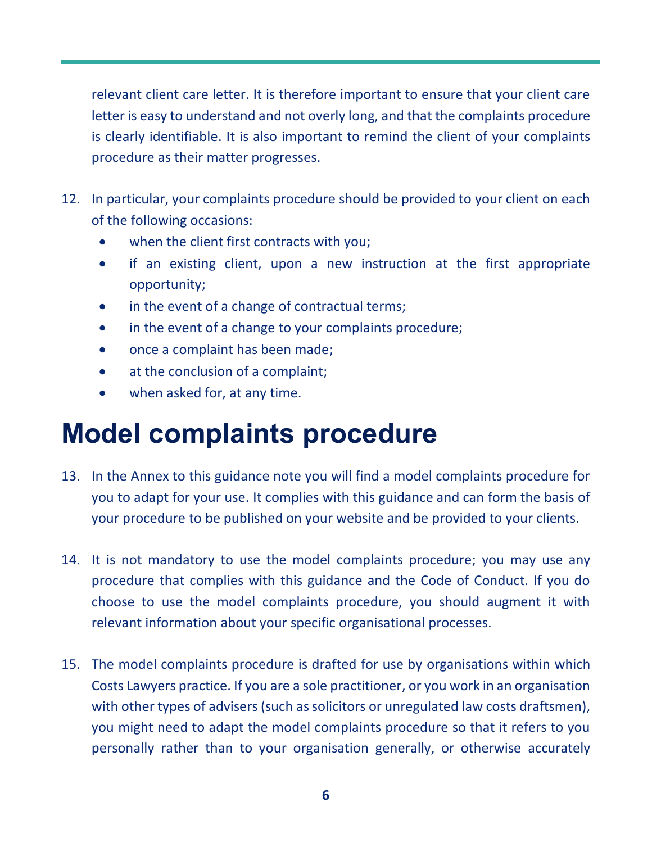relevant client care letter. It is therefore important to ensure that your client care letter is easy to understand and not overly long, and that the complaints procedure is clearly identifiable. It is also important to remind the client of your complaints procedure as their matter progresses.

- 12. In particular, your complaints procedure should be provided to your client on each of the following occasions:
	- when the client first contracts with you;
	- if an existing client, upon a new instruction at the first appropriate opportunity;
	- in the event of a change of contractual terms;
	- in the event of a change to your complaints procedure;
	- once a complaint has been made;
	- at the conclusion of a complaint;
	- when asked for, at any time.

## <span id="page-5-0"></span>**Model complaints procedure**

- 13. In the Annex to this guidance note you will find a model complaints procedure for you to adapt for your use. It complies with this guidance and can form the basis of your procedure to be published on your website and be provided to your clients.
- 14. It is not mandatory to use the model complaints procedure; you may use any procedure that complies with this guidance and the Code of Conduct. If you do choose to use the model complaints procedure, you should augment it with relevant information about your specific organisational processes.
- 15. The model complaints procedure is drafted for use by organisations within which Costs Lawyers practice. If you are a sole practitioner, or you work in an organisation with other types of advisers (such as solicitors or unregulated law costs draftsmen), you might need to adapt the model complaints procedure so that it refers to you personally rather than to your organisation generally, or otherwise accurately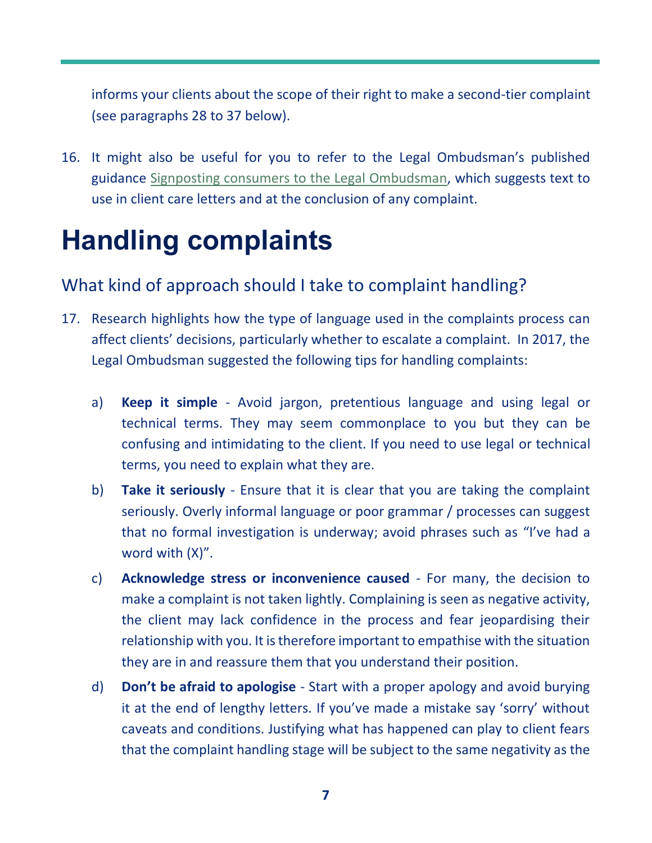informs your clients about the scope of their right to make a second-tier complaint (see paragraphs 28 to 37 below).

16. It might also be useful for you to refer to the Legal Ombudsman's published guidance [Signposting consumers to the Legal Ombudsman,](https://www.legalombudsman.org.uk/information-centre/learning-resources/the-leo-process/signposting-consumers-to-the-legal-ombudsman/) which suggests text to use in client care letters and at the conclusion of any complaint.

## <span id="page-6-0"></span>**Handling complaints**

### <span id="page-6-1"></span>What kind of approach should I take to complaint handling?

- 17. Research highlights how the type of language used in the complaints process can affect clients' decisions, particularly whether to escalate a complaint. In 2017, the Legal Ombudsman suggested the following tips for handling complaints:
	- a) **Keep it simple** Avoid jargon, pretentious language and using legal or technical terms. They may seem commonplace to you but they can be confusing and intimidating to the client. If you need to use legal or technical terms, you need to explain what they are.
	- b) **Take it seriously** Ensure that it is clear that you are taking the complaint seriously. Overly informal language or poor grammar / processes can suggest that no formal investigation is underway; avoid phrases such as "I've had a word with (X)".
	- c) **Acknowledge stress or inconvenience caused** For many, the decision to make a complaint is not taken lightly. Complaining is seen as negative activity, the client may lack confidence in the process and fear jeopardising their relationship with you. It is therefore important to empathise with the situation they are in and reassure them that you understand their position.
	- d) **Don't be afraid to apologise** Start with a proper apology and avoid burying it at the end of lengthy letters. If you've made a mistake say 'sorry' without caveats and conditions. Justifying what has happened can play to client fears that the complaint handling stage will be subject to the same negativity as the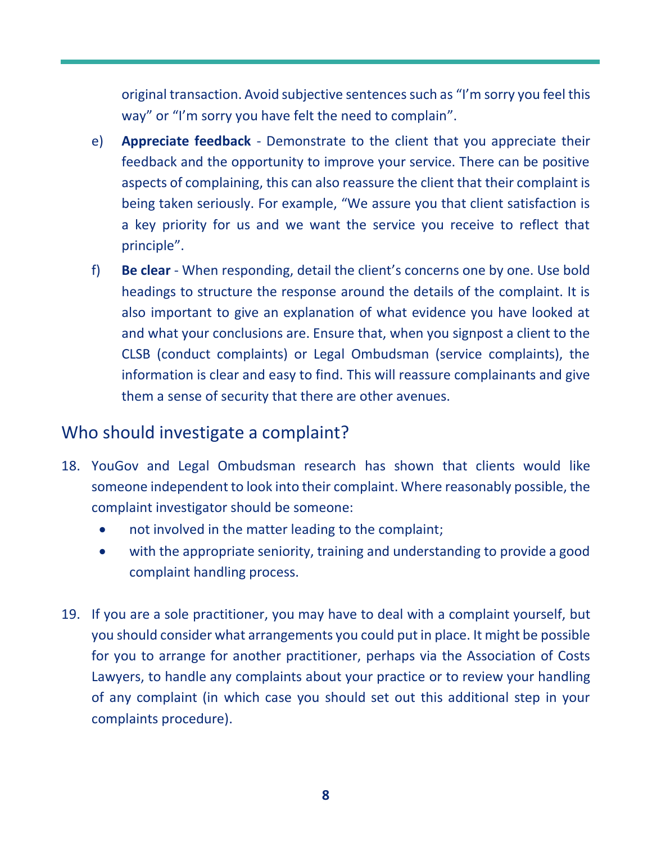original transaction. Avoid subjective sentences such as "I'm sorry you feel this way" or "I'm sorry you have felt the need to complain".

- e) **Appreciate feedback** Demonstrate to the client that you appreciate their feedback and the opportunity to improve your service. There can be positive aspects of complaining, this can also reassure the client that their complaint is being taken seriously. For example, "We assure you that client satisfaction is a key priority for us and we want the service you receive to reflect that principle".
- f) **Be clear** When responding, detail the client's concerns one by one. Use bold headings to structure the response around the details of the complaint. It is also important to give an explanation of what evidence you have looked at and what your conclusions are. Ensure that, when you signpost a client to the CLSB (conduct complaints) or Legal Ombudsman (service complaints), the information is clear and easy to find. This will reassure complainants and give them a sense of security that there are other avenues.

#### <span id="page-7-0"></span>Who should investigate a complaint?

- 18. YouGov and Legal Ombudsman research has shown that clients would like someone independent to look into their complaint. Where reasonably possible, the complaint investigator should be someone:
	- not involved in the matter leading to the complaint;
	- with the appropriate seniority, training and understanding to provide a good complaint handling process.
- 19. If you are a sole practitioner, you may have to deal with a complaint yourself, but you should consider what arrangements you could put in place. It might be possible for you to arrange for another practitioner, perhaps via the Association of Costs Lawyers, to handle any complaints about your practice or to review your handling of any complaint (in which case you should set out this additional step in your complaints procedure).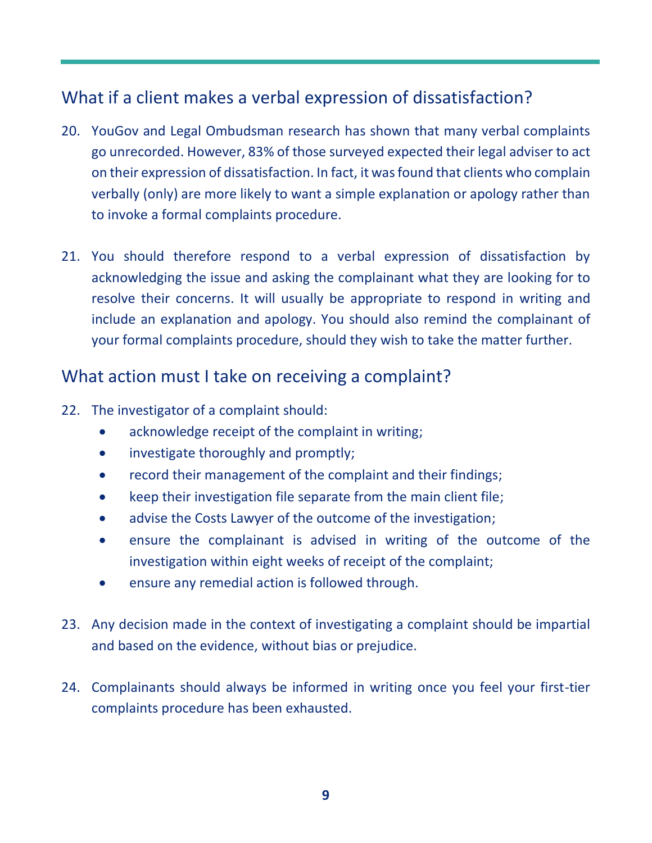### <span id="page-8-0"></span>What if a client makes a verbal expression of dissatisfaction?

- 20. YouGov and Legal Ombudsman research has shown that many verbal complaints go unrecorded. However, 83% of those surveyed expected their legal adviser to act on their expression of dissatisfaction. In fact, it was found that clients who complain verbally (only) are more likely to want a simple explanation or apology rather than to invoke a formal complaints procedure.
- 21. You should therefore respond to a verbal expression of dissatisfaction by acknowledging the issue and asking the complainant what they are looking for to resolve their concerns. It will usually be appropriate to respond in writing and include an explanation and apology. You should also remind the complainant of your formal complaints procedure, should they wish to take the matter further.

#### <span id="page-8-1"></span>What action must I take on receiving a complaint?

- 22. The investigator of a complaint should:
	- acknowledge receipt of the complaint in writing;
	- investigate thoroughly and promptly;
	- record their management of the complaint and their findings;
	- keep their investigation file separate from the main client file;
	- advise the Costs Lawyer of the outcome of the investigation;
	- ensure the complainant is advised in writing of the outcome of the investigation within eight weeks of receipt of the complaint;
	- ensure any remedial action is followed through.
- 23. Any decision made in the context of investigating a complaint should be impartial and based on the evidence, without bias or prejudice.
- 24. Complainants should always be informed in writing once you feel your first-tier complaints procedure has been exhausted.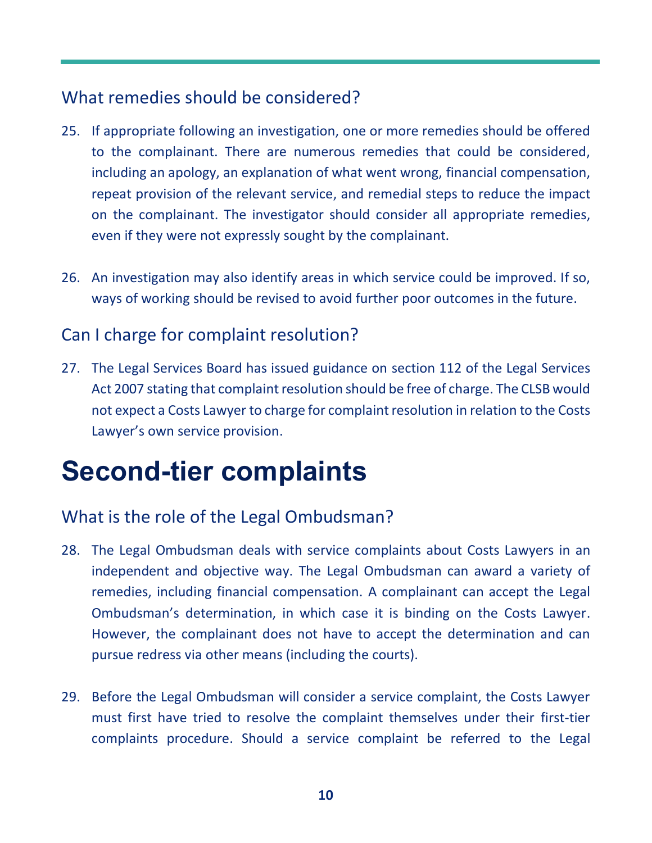### <span id="page-9-0"></span>What remedies should be considered?

- 25. If appropriate following an investigation, one or more remedies should be offered to the complainant. There are numerous remedies that could be considered, including an apology, an explanation of what went wrong, financial compensation, repeat provision of the relevant service, and remedial steps to reduce the impact on the complainant. The investigator should consider all appropriate remedies, even if they were not expressly sought by the complainant.
- 26. An investigation may also identify areas in which service could be improved. If so, ways of working should be revised to avoid further poor outcomes in the future.

### <span id="page-9-1"></span>Can I charge for complaint resolution?

27. The Legal Services Board has issued guidance on section 112 of the Legal Services Act 2007 stating that complaint resolution should be free of charge. The CLSB would not expect a Costs Lawyer to charge for complaint resolution in relation to the Costs Lawyer's own service provision.

## <span id="page-9-2"></span>**Second-tier complaints**

### <span id="page-9-3"></span>What is the role of the Legal Ombudsman?

- 28. The Legal Ombudsman deals with service complaints about Costs Lawyers in an independent and objective way. The Legal Ombudsman can award a variety of remedies, including financial compensation. A complainant can accept the Legal Ombudsman's determination, in which case it is binding on the Costs Lawyer. However, the complainant does not have to accept the determination and can pursue redress via other means (including the courts).
- 29. Before the Legal Ombudsman will consider a service complaint, the Costs Lawyer must first have tried to resolve the complaint themselves under their first-tier complaints procedure. Should a service complaint be referred to the Legal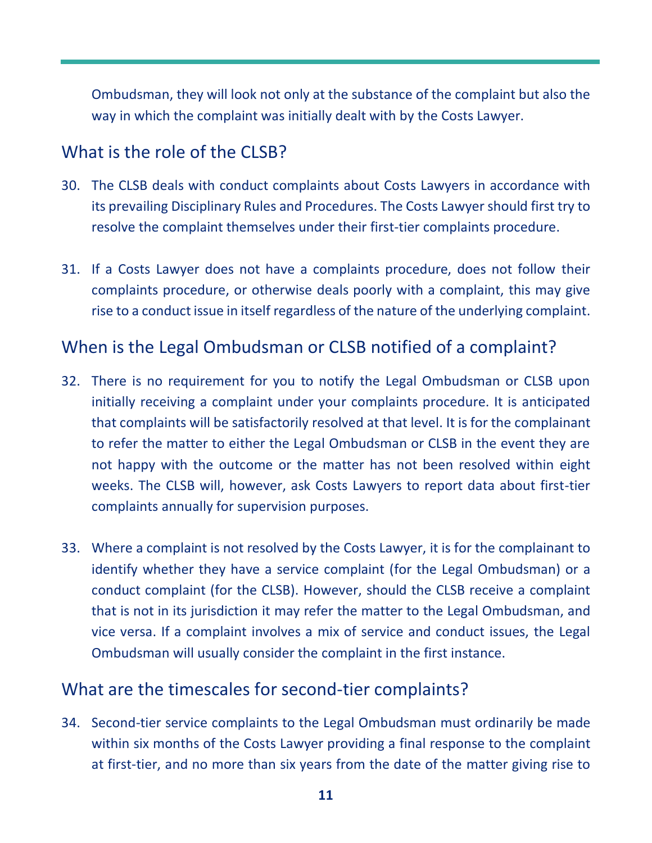Ombudsman, they will look not only at the substance of the complaint but also the way in which the complaint was initially dealt with by the Costs Lawyer.

### <span id="page-10-0"></span>What is the role of the CLSB?

- 30. The CLSB deals with conduct complaints about Costs Lawyers in accordance with its prevailing Disciplinary Rules and Procedures. The Costs Lawyer should first try to resolve the complaint themselves under their first-tier complaints procedure.
- 31. If a Costs Lawyer does not have a complaints procedure, does not follow their complaints procedure, or otherwise deals poorly with a complaint, this may give rise to a conduct issue in itself regardless of the nature of the underlying complaint.

### <span id="page-10-1"></span>When is the Legal Ombudsman or CLSB notified of a complaint?

- 32. There is no requirement for you to notify the Legal Ombudsman or CLSB upon initially receiving a complaint under your complaints procedure. It is anticipated that complaints will be satisfactorily resolved at that level. It is for the complainant to refer the matter to either the Legal Ombudsman or CLSB in the event they are not happy with the outcome or the matter has not been resolved within eight weeks. The CLSB will, however, ask Costs Lawyers to report data about first-tier complaints annually for supervision purposes.
- 33. Where a complaint is not resolved by the Costs Lawyer, it is for the complainant to identify whether they have a service complaint (for the Legal Ombudsman) or a conduct complaint (for the CLSB). However, should the CLSB receive a complaint that is not in its jurisdiction it may refer the matter to the Legal Ombudsman, and vice versa. If a complaint involves a mix of service and conduct issues, the Legal Ombudsman will usually consider the complaint in the first instance.

#### <span id="page-10-2"></span>What are the timescales for second-tier complaints?

34. Second-tier service complaints to the Legal Ombudsman must ordinarily be made within six months of the Costs Lawyer providing a final response to the complaint at first-tier, and no more than six years from the date of the matter giving rise to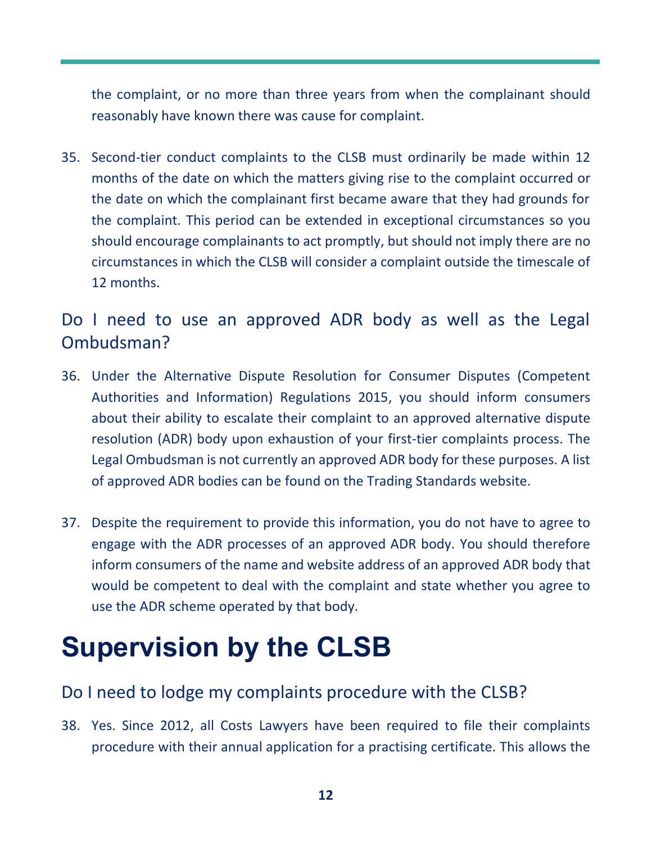the complaint, or no more than three years from when the complainant should reasonably have known there was cause for complaint.

35. Second-tier conduct complaints to the CLSB must ordinarily be made within 12 months of the date on which the matters giving rise to the complaint occurred or the date on which the complainant first became aware that they had grounds for the complaint. This period can be extended in exceptional circumstances so you should encourage complainants to act promptly, but should not imply there are no circumstances in which the CLSB will consider a complaint outside the timescale of 12 months.

### <span id="page-11-0"></span>Do I need to use an approved ADR body as well as the Legal Ombudsman?

- 36. Under the Alternative Dispute Resolution for Consumer Disputes (Competent Authorities and Information) Regulations 2015, you should inform consumers about their ability to escalate their complaint to an approved alternative dispute resolution (ADR) body upon exhaustion of your first-tier complaints process. The Legal Ombudsman is not currently an approved ADR body for these purposes. A list of approved ADR bodies can be found on the Trading Standards website.
- 37. Despite the requirement to provide this information, you do not have to agree to engage with the ADR processes of an approved ADR body. You should therefore inform consumers of the name and website address of an approved ADR body that would be competent to deal with the complaint and state whether you agree to use the ADR scheme operated by that body.

## <span id="page-11-1"></span>**Supervision by the CLSB**

#### <span id="page-11-2"></span>Do I need to lodge my complaints procedure with the CLSB?

38. Yes. Since 2012, all Costs Lawyers have been required to file their complaints procedure with their annual application for a practising certificate. This allows the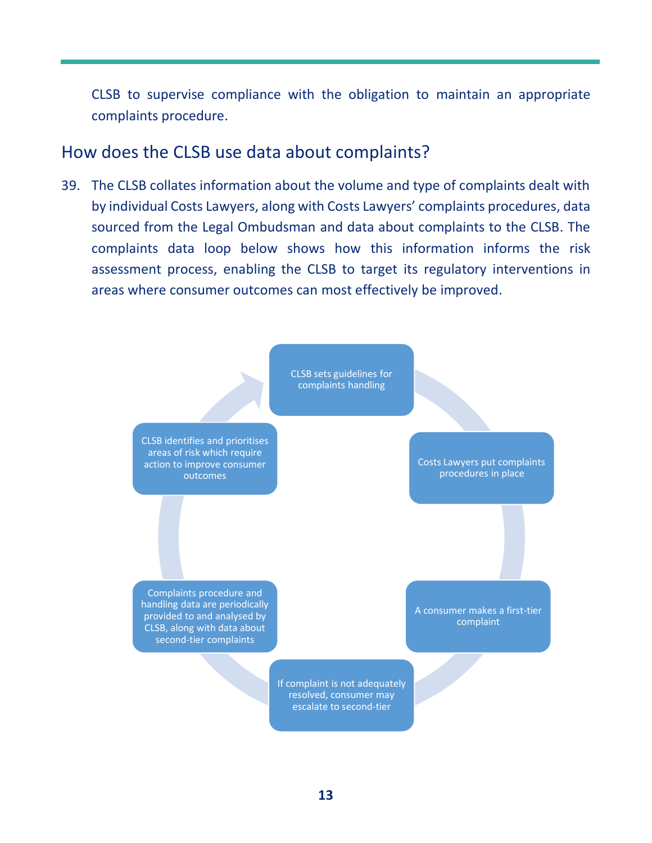CLSB to supervise compliance with the obligation to maintain an appropriate complaints procedure.

#### <span id="page-12-0"></span>How does the CLSB use data about complaints?

39. The CLSB collates information about the volume and type of complaints dealt with by individual Costs Lawyers, along with Costs Lawyers' complaints procedures, data sourced from the Legal Ombudsman and data about complaints to the CLSB. The complaints data loop below shows how this information informs the risk assessment process, enabling the CLSB to target its regulatory interventions in areas where consumer outcomes can most effectively be improved.

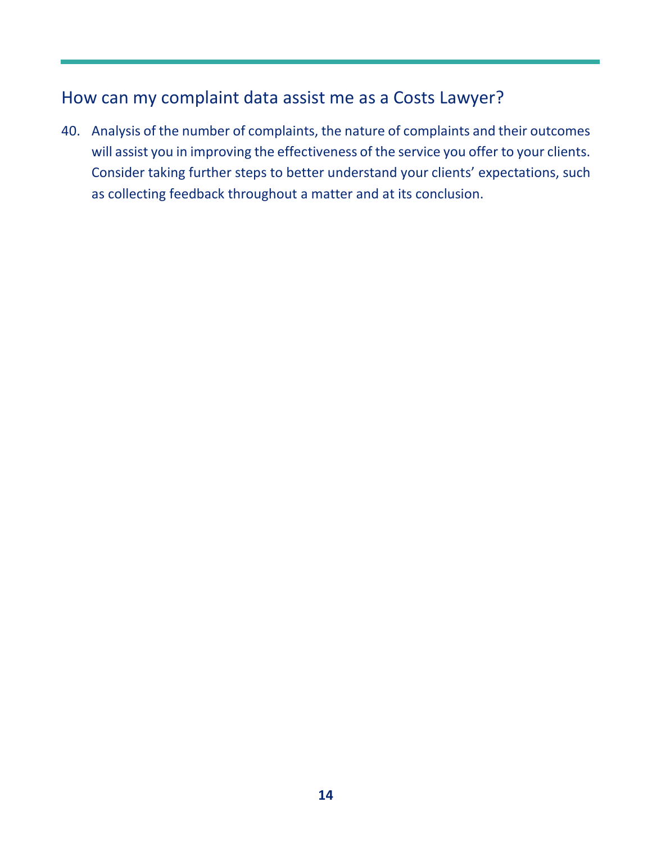### <span id="page-13-0"></span>How can my complaint data assist me as a Costs Lawyer?

40. Analysis of the number of complaints, the nature of complaints and their outcomes will assist you in improving the effectiveness of the service you offer to your clients. Consider taking further steps to better understand your clients' expectations, such as collecting feedback throughout a matter and at its conclusion.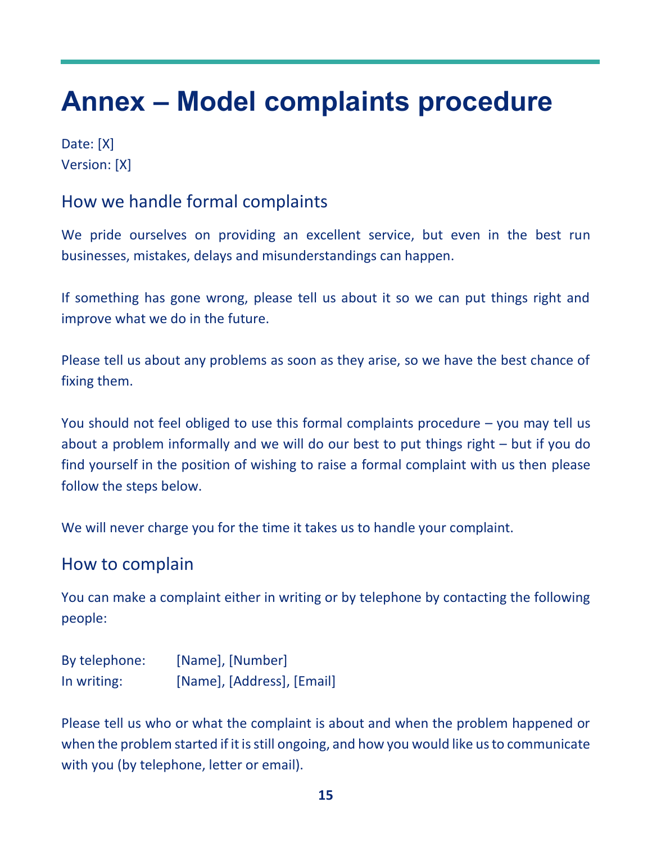## <span id="page-14-0"></span>**Annex – Model complaints procedure**

Date: [X] Version: [X]

#### How we handle formal complaints

We pride ourselves on providing an excellent service, but even in the best run businesses, mistakes, delays and misunderstandings can happen.

If something has gone wrong, please tell us about it so we can put things right and improve what we do in the future.

Please tell us about any problems as soon as they arise, so we have the best chance of fixing them.

You should not feel obliged to use this formal complaints procedure – you may tell us about a problem informally and we will do our best to put things right – but if you do find yourself in the position of wishing to raise a formal complaint with us then please follow the steps below.

We will never charge you for the time it takes us to handle your complaint.

#### How to complain

You can make a complaint either in writing or by telephone by contacting the following people:

| By telephone: | [Name], [Number]           |
|---------------|----------------------------|
| In writing:   | [Name], [Address], [Email] |

Please tell us who or what the complaint is about and when the problem happened or when the problem started if it is still ongoing, and how you would like us to communicate with you (by telephone, letter or email).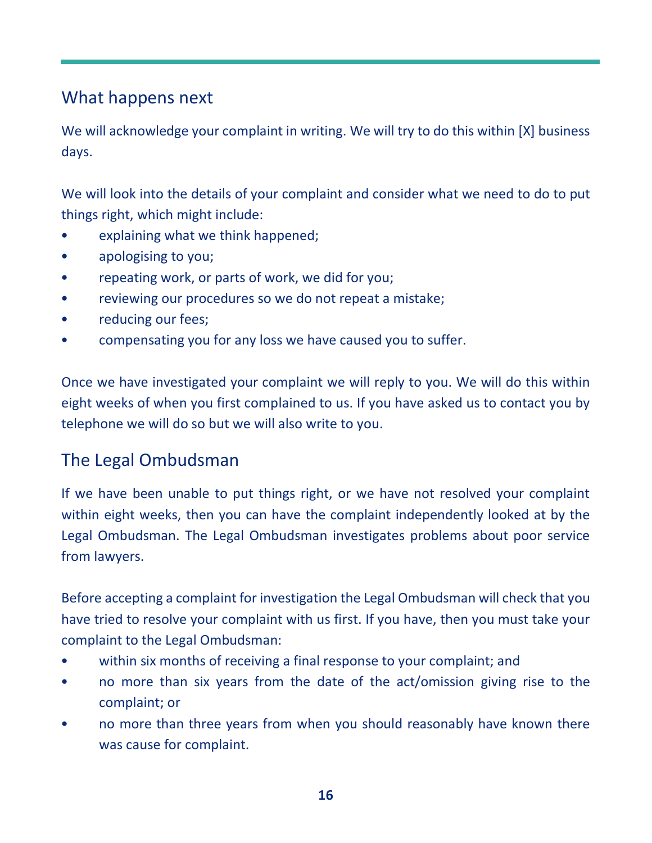#### What happens next

We will acknowledge your complaint in writing. We will try to do this within [X] business days.

We will look into the details of your complaint and consider what we need to do to put things right, which might include:

- explaining what we think happened;
- apologising to you;
- repeating work, or parts of work, we did for you;
- reviewing our procedures so we do not repeat a mistake;
- reducing our fees;
- compensating you for any loss we have caused you to suffer.

Once we have investigated your complaint we will reply to you. We will do this within eight weeks of when you first complained to us. If you have asked us to contact you by telephone we will do so but we will also write to you.

#### The Legal Ombudsman

If we have been unable to put things right, or we have not resolved your complaint within eight weeks, then you can have the complaint independently looked at by the Legal Ombudsman. The Legal Ombudsman investigates problems about poor service from lawyers.

Before accepting a complaint for investigation the Legal Ombudsman will check that you have tried to resolve your complaint with us first. If you have, then you must take your complaint to the Legal Ombudsman:

- within six months of receiving a final response to your complaint; and
- no more than six years from the date of the act/omission giving rise to the complaint; or
- no more than three years from when you should reasonably have known there was cause for complaint.